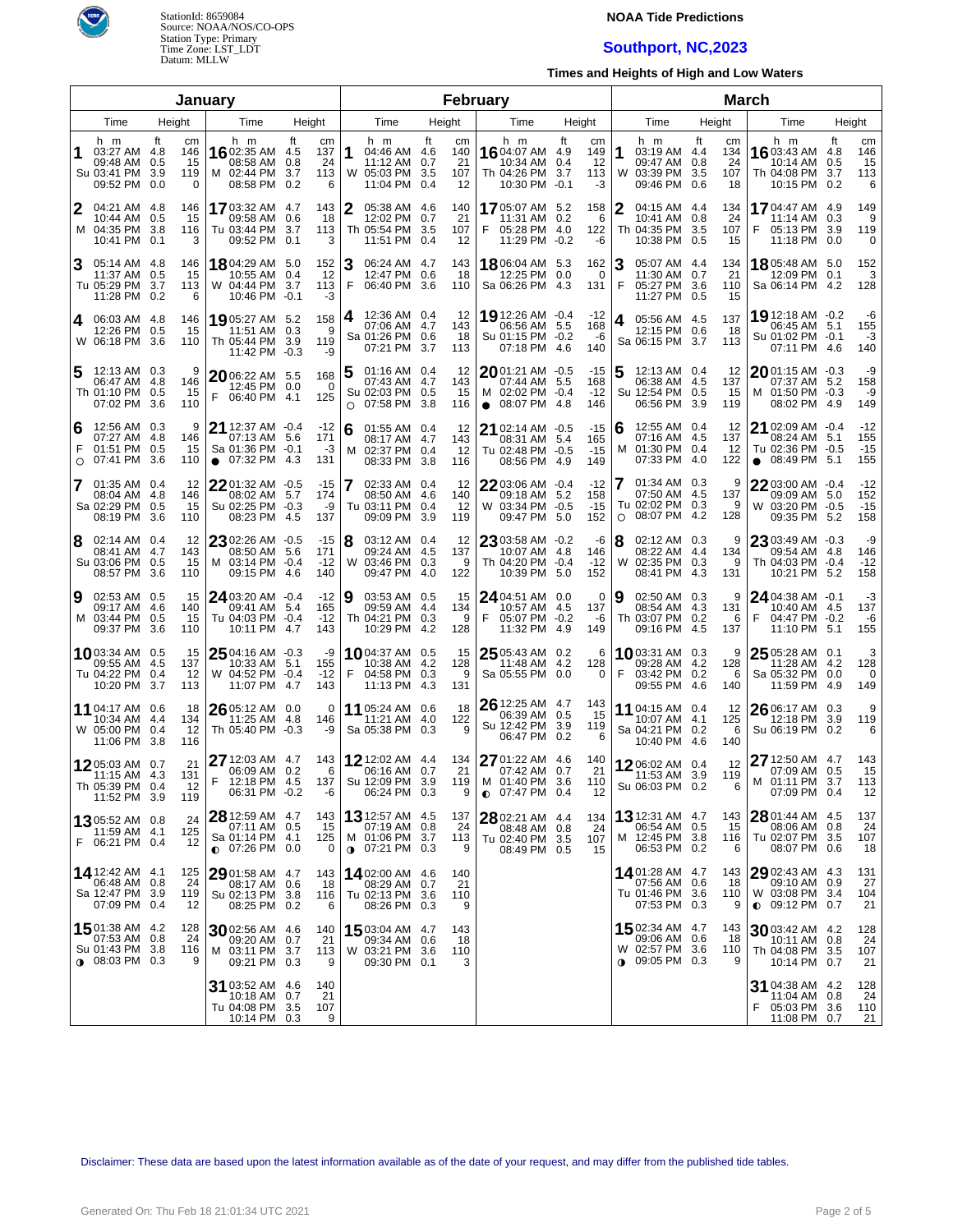

## **NOAA Tide Predictions**

# **Southport, NC,2023**

**Times and Heights of High and Low Waters**

|                                  |                                                                             |    |                             | January                                                                      |                                                               |        | February                                                                    |     |                              |                                                                                     |                                                     |         |                                                                             | <b>March</b>                              |        |                                                                                   |                   |                              |  |  |  |
|----------------------------------|-----------------------------------------------------------------------------|----|-----------------------------|------------------------------------------------------------------------------|---------------------------------------------------------------|--------|-----------------------------------------------------------------------------|-----|------------------------------|-------------------------------------------------------------------------------------|-----------------------------------------------------|---------|-----------------------------------------------------------------------------|-------------------------------------------|--------|-----------------------------------------------------------------------------------|-------------------|------------------------------|--|--|--|
| Time<br>Height<br>Time<br>Height |                                                                             |    |                             |                                                                              |                                                               |        | Time                                                                        |     | Height                       | Time                                                                                | Height                                              |         | Time                                                                        | Height                                    |        | Time                                                                              |                   | Height                       |  |  |  |
| 1                                | h m<br>03:27 AM 4.8<br>09:48 AM 0.5<br>Su 03:41 PM 3.9<br>09:52 PM 0.0      | ft | cm<br>146<br>15<br>119<br>0 | h m<br>16 02:35 AM<br>08:58 AM<br>M 02:44 PM<br>08:58 PM                     | ft<br>cm<br>137<br>4.5<br>24<br>0.8<br>113<br>3.7<br>0.2<br>6 | 1      | h m<br>04:46 AM 4.6<br>11:12 AM 0.7<br>W 05:03 PM 3.5<br>11:04 PM 0.4       | ft  | cm<br>140<br>21<br>107<br>12 | h m<br>1604:07 AM 4.9<br>10:34 AM 0.4<br>Th 04:26 PM<br>10:30 PM                    | ft<br>cm<br>149<br>12<br>3.7<br>113<br>$-0.1$<br>-3 | 1<br>W  | h m<br>03:19 AM 4.4<br>09:47 AM 0.8<br>03:39 PM<br>09:46 PM 0.6             | ft<br>cm<br>134<br>24<br>3.5<br>107<br>18 |        | h m<br>16 03:43 AM 4.8<br>10:14 AM<br>Th 04:08 PM 3.7<br>10:15 PM 0.2             | ft<br>0.5         | cm<br>146<br>15<br>113<br>6  |  |  |  |
| 2                                | 04:21 AM 4.8<br>10:44 AM 0.5<br>M 04:35 PM 3.8<br>10:41 PM 0.1              |    | 146<br>15<br>116<br>3       | 17 03:32 AM<br>09:58 AM<br>Tu 03:44 PM<br>09:52 PM                           | 4.7<br>143<br>18<br>0.6<br>3.7<br>113<br>0.1<br>3             | 2      | 05:38 AM 4.6<br>12:02 PM 0.7<br>Th 05:54 PM 3.5<br>11:51 PM 0.4             |     | 140<br>21<br>107<br>12       | 1705:07 AM 5.2<br>11:31 AM 0.2<br>F<br>05:28 PM 4.0<br>11:29 PM -0.2                | 158<br>6<br>122<br>-6                               |         | 04:15 AM 4.4<br>10:41 AM 0.8<br>Th 04:35 PM<br>10:38 PM 0.5                 | 134<br>24<br>107<br>3.5<br>15             |        | <b>17</b> 04:47 AM 4.9<br>$11:14$ AM $0.3$<br>05:13 PM 3.9<br>F<br>11:18 PM 0.0   |                   | 149<br>9<br>119<br>0         |  |  |  |
| 3                                | 05:14 AM 4.8<br>11:37 AM 0.5<br>Tu 05:29 PM 3.7<br>11:28 PM 0.2             |    | 146<br>15<br>113<br>6       | 18 04:29 AM 5.0<br>10:55 AM<br>W 04:44 PM<br>10:46 PM -0.1                   | 152<br>12<br>0.4<br>3.7<br>113<br>-3                          | 3<br>F | 06:24 AM 4.7<br>12:47 PM 0.6<br>06:40 PM 3.6                                |     | 143<br>18<br>110             | 1806:04 AM 5.3<br>12:25 PM<br>Sa 06:26 PM 4.3                                       | 162<br>0.0<br>0<br>131                              | 3<br>F  | 05:07 AM 4.4<br>11:30 AM 0.7<br>05:27 PM 3.6<br>11:27 PM 0.5                | 134<br>21<br>110<br>15                    |        | 1805:48 AM 5.0<br>12:09 PM 0.1<br>Sa 06:14 PM 4.2                                 |                   | 152<br>3<br>128              |  |  |  |
| 4                                | 06:03 AM 4.8<br>12:26 PM 0.5<br>W 06:18 PM 3.6                              |    | 146<br>15<br>110            | 19 05:27 AM 5.2<br>11:51 AM 0.3<br>Th 05:44 PM<br>11:42 PM -0.3              | 158<br>9<br>3.9<br>119<br>-9                                  | 4      | 12:36 AM 0.4<br>07:06 AM 4.7<br>Sa 01:26 PM 0.6<br>07:21 PM 3.7             |     | 12<br>143<br>18<br>113       | 19 12:26 AM -0.4<br>06:56 AM 5.5<br>Su 01:15 PM -0.2<br>07:18 PM 4.6                | $-12$<br>168<br>-6<br>140                           | 4       | 05:56 AM 4.5<br>12:15 PM 0.6<br>Sa 06:15 PM 3.7                             | 137<br>18<br>113                          |        | 19 12:18 AM -0.2<br>06:45 AM 5.1<br>Su 01:02 PM -0.1<br>07:11 PM 4.6              |                   | -6<br>155<br>$-3$<br>140     |  |  |  |
| 5                                | 12:13 AM 0.3<br>06:47 AM 4.8<br>Th 01:10 PM 0.5<br>07:02 PM 3.6             |    | 9<br>146<br>15<br>110       | 20 06:22 AM 5.5<br>12:45 PM 0.0<br>F<br>06:40 PM 4.1                         | 168<br>0<br>125                                               | 5<br>O | 01:16 AM 0.4<br>07:43 AM 4.7<br>Su 02:03 PM 0.5<br>07:58 PM                 | 3.8 | 12<br>143<br>15<br>116       | $2001:21$ AM $-0.5$<br>07:44 AM 5.5<br>M 02:02 PM -0.4<br>08:07 PM 4.8<br>$\bullet$ | $-15$<br>168<br>$-12$<br>146                        | 5       | 12:13 AM 0.4<br>06:38 AM 4.5<br>Su 12:54 PM 0.5<br>06:56 PM                 | 12<br>137<br>15<br>3.9<br>119             |        | 2001:15 AM -0.3<br>07:37 AM 5.2<br>M 01:50 PM -0.3<br>08:02 PM                    | -4.9              | -9<br>158<br>-9<br>149       |  |  |  |
| 6<br>F<br>O                      | 12:56 AM 0.3<br>07:27 AM 4.8<br>01:51 PM 0.5<br>07:41 PM 3.6                |    | 9<br>146<br>15<br>110       | 21 12:37 AM -0.4<br>07:13 AM<br>Sa 01:36 PM -0.1<br>07:32 PM<br>$\bullet$    | $-12$<br>171<br>5.6<br>-3<br>4.3<br>131                       | 6<br>м | 01:55 AM 0.4<br>08:17 AM 4.7<br>02:37 PM 0.4<br>08:33 PM 3.8                |     | 12<br>143<br>12<br>116       | 21 02:14 AM -0.5<br>08:31 AM 5.4<br>Tu 02:48 PM -0.5<br>08:56 PM 4.9                | $-15$<br>165<br>$-15$<br>149                        | 6<br>м  | 12:55 AM 0.4<br>07:16 AM 4.5<br>01:30 PM 0.4<br>07:33 PM                    | 12<br>137<br>12<br>4.0<br>122             |        | 21 02:09 AM -0.4<br>08:24 AM 5.1<br>Tu 02:36 PM -0.5<br>08:49 PM 5.1<br>$\bullet$ |                   | $-12$<br>155<br>$-15$<br>155 |  |  |  |
| 7                                | 01:35 AM 0.4<br>08:04 AM 4.8<br>Sa 02:29 PM 0.5<br>08:19 PM 3.6             |    | 12<br>146<br>15<br>110      | 2201:32 AM -0.5<br>08:02 AM 5.7<br>Su 02:25 PM -0.3<br>08:23 PM              | $-15$<br>174<br>-9<br>137<br>-4.5                             | 7      | 02:33 AM 0.4<br>08:50 AM 4.6<br>Tu 03:11 PM 0.4<br>09:09 PM                 | 3.9 | 12<br>140<br>12<br>119       | 2203:06 AM -0.4<br>09:18 AM 5.2<br>W 03:34 PM -0.5<br>09:47 PM 5.0                  | $-12$<br>158<br>$-15$<br>152                        | $\circ$ | 01:34 AM 0.3<br>07:50 AM 4.5<br>Tu 02:02 PM 0.3<br>08:07 PM                 | 137<br>-4.2<br>128                        | 9<br>9 | 2203:00 AM -0.4<br>09:09 AM 5.0<br>W 03:20 PM -0.5<br>09:35 PM 5.2                |                   | $-12$<br>152<br>$-15$<br>158 |  |  |  |
| 8                                | 02:14 AM 0.4<br>08:41 AM 4.7<br>Su 03:06 PM 0.5<br>08:57 PM 3.6             |    | 12<br>143<br>15<br>110      | 23 02:26 AM -0.5<br>08:50 AM 5.6<br>M 03:14 PM -0.4<br>09:15 PM 4.6          | $-15$<br>171<br>$-12$<br>140                                  | 8      | 03:12 AM 0.4<br>09:24 AM 4.5<br>W 03:46 PM 0.3<br>09:47 PM 4.0              |     | 12<br>137<br>9<br>122        | 23 03:58 AM -0.2<br>10:07 AM 4.8<br>Th 04:20 PM -0.4<br>10:39 PM 5.0                | -6<br>146<br>$-12$<br>152                           | 8<br>W  | 02:12 AM 0.3<br>08:22 AM 4.4<br>02:35 PM 0.3<br>08:41 PM                    | 134<br>4.3<br>131                         | 9<br>9 | 23 03:49 AM -0.3<br>09:54 AM 4.8<br>Th 04:03 PM -0.4<br>10:21 PM 5.2              |                   | -9<br>146<br>$-12$<br>158    |  |  |  |
| 9                                | 02:53 AM 0.5<br>09:17 AM 4.6<br>M 03:44 PM 0.5<br>09:37 PM 3.6              |    | 15<br>140<br>15<br>110      | 24 03:20 AM -0.4<br>09:41 AM 5.4<br>Tu 04:03 PM -0.4<br>10:11 PM             | $-12$<br>165<br>$-12$<br>4.7<br>143                           | Ι9     | 03:53 AM 0.5<br>09:59 AM 4.4<br>Th 04:21 PM 0.3<br>10:29 PM 4.2             |     | 15<br>134<br>9<br>128        | 24 04:51 AM 0.0<br>10:57 AM 4.5<br>05:07 PM -0.2<br>F<br>11:32 PM                   | 0<br>137<br>-6<br>4.9<br>149                        | 9       | 02:50 AM 0.3<br>08:54 AM 4.3<br>Th 03:07 PM 0.2<br>09:16 PM 4.5             | 131<br>137                                | 9<br>6 | 24 04:38 AM -0.1<br>10:40 AM 4.5<br>F<br>04:47 PM -0.2<br>11:10 PM 5.1            |                   | -3<br>137<br>-6<br>155       |  |  |  |
|                                  | <b>10</b> 03:34 AM 0.5<br>09:55 AM 4.5<br>Tu 04:22 PM 0.4<br>10:20 PM 3.7   |    | 15<br>137<br>12<br>113      | 25 04:16 AM -0.3<br>10:33 AM 5.1<br>W 04:52 PM -0.4<br>11:07 PM              | -9<br>155<br>$-12$<br>4.7<br>143                              | F      | <b>10</b> 04:37 AM 0.5<br>10:38 AM 4.2<br>04:58 PM 0.3<br>11:13 PM 4.3      |     | 15<br>128<br>9<br>131        | 25 05:43 AM 0.2<br>11:48 AM 4.2<br>Sa 05:55 PM 0.0                                  | 6<br>128<br>0                                       | F       | 1003:31 AM 0.3<br>09:28 AM 4.2<br>03:42 PM 0.2<br>09:55 PM 4.6              | 128<br>140                                | 9<br>6 | 25 05:28 AM 0.1<br>11:28 AM 4.2<br>Sa 05:32 PM 0.0<br>11:59 PM 4.9                |                   | 3<br>128<br>0<br>149         |  |  |  |
|                                  | 11 04:17 AM 0.6<br>10:34 AM 4.4<br>W 05:00 PM 0.4<br>11:06 PM 3.8           |    | 18<br>134<br>12<br>116      | 26 05:12 AM 0.0<br>11:25 AM<br>Th 05:40 PM                                   | 0<br>4.8<br>146<br>$-0.3$<br>-9                               |        | 11 05:24 AM 0.6<br>11:21 AM 4.0<br>Sa 05:38 PM 0.3                          |     | 18<br>122<br>9               | 26 12:25 AM 4.7<br>06:39 AM 0.5<br>Su 12:42 PM 3.9<br>06:47 PM 0.2                  | 143<br>-15<br>119<br>6                              |         | <b>11</b> 04:15 AM 0.4<br>10:07 AM 4.1<br>Sa 04:21 PM 0.2<br>10:40 PM 4.6   | 12<br>125<br>140                          | 6      | 26 06:17 AM 0.3<br>12:18 PM<br>Su 06:19 PM 0.2                                    | 39                | 9<br>119<br>6                |  |  |  |
|                                  | 1205:03 AM 0.7<br>11:15 AM 4.3<br>Th 05:39 PM 0.4<br>11:52 PM 3.9           |    | 21<br>131<br>12<br>119      | $2712:03$ AM 4.7<br>06:09 AM 0.2<br>F<br>12:18 PM 4.5<br>06:31 PM -0.2       | 143<br>6<br>137<br>-6                                         |        | <b>12</b> 12:02 AM 4.4<br>06:16 AM 0.7<br>Su 12:09 PM 3.9<br>06:24 PM 0.3   |     | 134<br>21<br>119<br>9        | 27 01:22 AM 4.6<br>07:42 AM 0.7<br>M 01:40 PM 3.6<br>$Q$ 07:47 PM 0.4               | 140<br>21<br>110<br>12                              |         | 1206:02 AM 0.4<br>11:53 AM 3.9<br>Su 06:03 PM 0.2                           | 12<br>119                                 | 6      | 27 12:50 AM 4.7<br>07:09 AM 0.5<br>M 01:11 PM 3.7<br>07:09 PM 0.4                 |                   | 143<br>15<br>113<br>12       |  |  |  |
|                                  | 1305:52 AM 0.8<br>11:59 AM 4.1<br>F 06:21 PM 0.4                            |    | 24<br>125<br>12             | 28 12:59 AM 4.7<br>07:11 AM 0.5<br>Sa 01:14 PM 4.1<br>$\bullet$ 07:26 PM 0.0 | 143<br>15<br>125<br>0                                         |        | 13 12:57 AM 4.5<br>07:19 AM 0.8<br>M 01:06 PM 3.7<br>$\bullet$ 07:21 PM 0.3 |     | 137<br>24<br>113<br>9        | 28 02:21 AM 4.4<br>08:48 AM 0.8<br>Tu 02:40 PM 3.5<br>08:49 PM 0.5                  | 134<br>24<br>107<br>15                              |         | <b>13</b> 12:31 AM 4.7<br>06:54 AM 0.5<br>M 12:45 PM 3.8<br>06:53 PM 0.2    | 143<br>15<br>116                          | 6      | $2801:44$ AM $4.5$<br>08:06 AM<br>Tu 02:07 PM<br>08:07 PM 0.6                     | 0.8<br>3.5        | 137<br>24<br>107<br>18       |  |  |  |
|                                  | 14 12:42 AM 4.1<br>06:48 AM 0.8<br>Sa 12:47 PM 3.9<br>07:09 PM 0.4          |    | 125<br>24<br>119<br>12      | $2901:58$ AM 4.7<br>08:17 AM<br>Su 02:13 PM 3.8<br>08:25 PM 0.2              | 143<br>0.6<br>18<br>116<br>6                                  |        | 14 02:00 AM 4.6<br>08:29 AM 0.7<br>Tu 02:13 PM 3.6<br>08:26 PM 0.3          |     | 140<br>21<br>110<br>9        |                                                                                     |                                                     |         | 1401:28 AM 4.7<br>07:56 AM 0.6<br>Tu 01:46 PM 3.6<br>07:53 PM 0.3           | 143<br>18<br>110                          | 9      | <b>29</b> 02:43 AM 4.3<br>09:10 AM 0.9<br>W 03:08 PM<br>$Q = 09:12$ PM 0.7        | 3.4               | 131<br>27<br>104<br>21       |  |  |  |
|                                  | 1501:38 AM 4.2<br>07:53 AM 0.8<br>Su 01:43 PM 3.8<br>$\bullet$ 08:03 PM 0.3 |    | 128<br>24<br>116<br>9       | 3002:56 AM 4.6<br>09:20 AM<br>M 03:11 PM 3.7<br>09:21 PM 0.3                 | 140<br>0.7<br>21<br>113<br>9                                  |        | 1503:04 AM 4.7<br>09:34 AM 0.6<br>W 03:21 PM 3.6<br>09:30 PM 0.1            |     | 143<br>18<br>110<br>3        |                                                                                     |                                                     |         | 15,02:34 AM 4.7<br>09:06 AM 0.6<br>W 02:57 PM 3.6<br>$\bullet$ 09:05 PM 0.3 | 143<br>18<br>110                          | 9      | $3003:42$ AM 4.2<br>10:11 AM 0.8<br>Th 04:08 PM 3.5<br>10:14 PM 0.7               |                   | 128<br>24<br>107<br>21       |  |  |  |
|                                  |                                                                             |    |                             | 31 03:52 AM 4.6<br>10:18 AM<br>Tu 04:08 PM<br>10:14 PM                       | 140<br>21<br>0.7<br>-3.5<br>107<br>9<br>0.3                   |        |                                                                             |     |                              |                                                                                     |                                                     |         |                                                                             |                                           |        | <b>31</b> 04:38 AM 4.2<br>11:04 AM<br>05:03 PM<br>11:08 PM                        | 0.8<br>3.6<br>0.7 | 128<br>24<br>110<br>21       |  |  |  |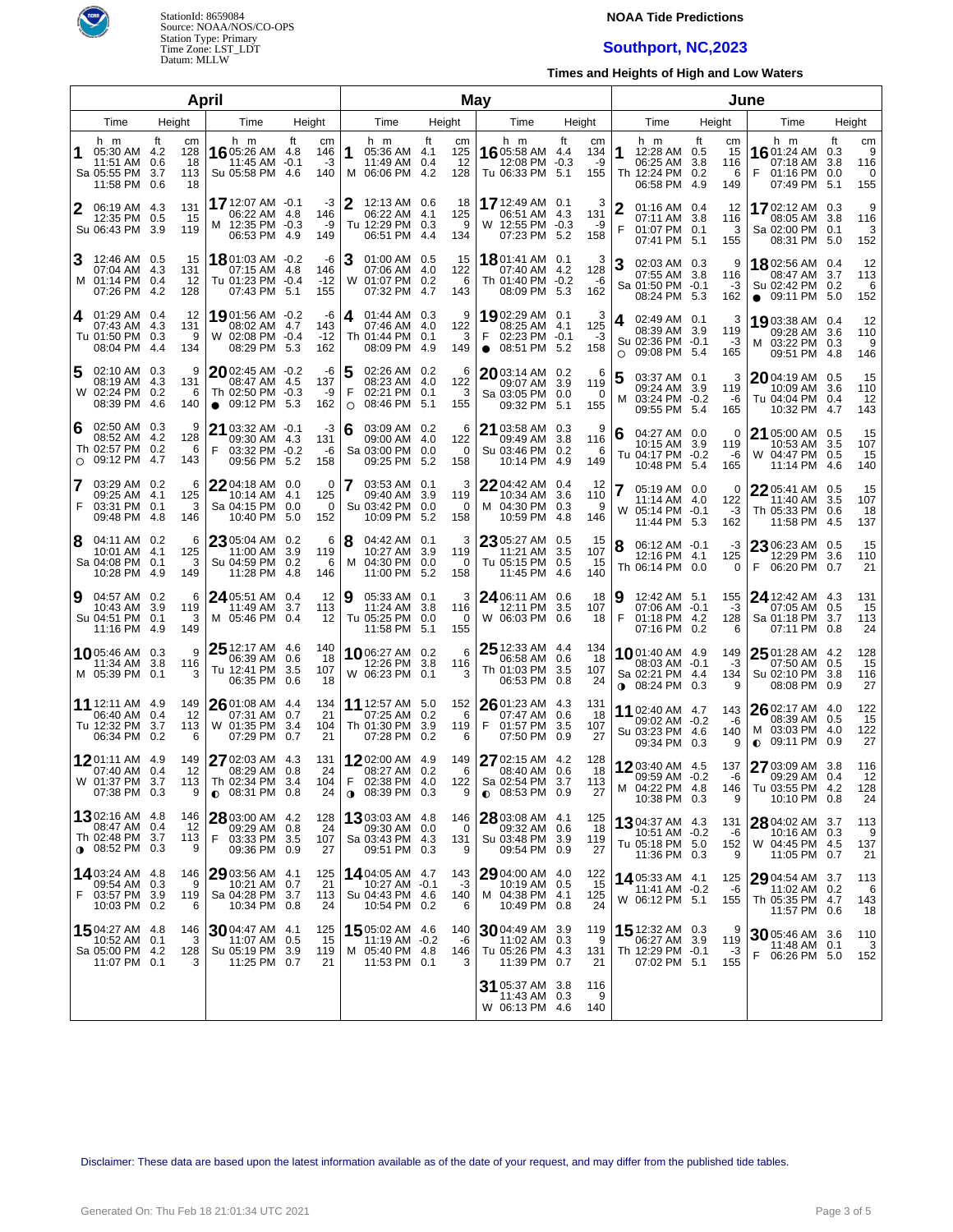

## **NOAA Tide Predictions**

# **Southport, NC,2023**

**Times and Heights of High and Low Waters**

|                |                                                                              |                                    | April       |                                                                              |                                    |                 |                                                                               |       | <b>May</b>              |                                                                                    |                                        |                                                                         |                                                 |                                                                         |                                                |
|----------------|------------------------------------------------------------------------------|------------------------------------|-------------|------------------------------------------------------------------------------|------------------------------------|-----------------|-------------------------------------------------------------------------------|-------|-------------------------|------------------------------------------------------------------------------------|----------------------------------------|-------------------------------------------------------------------------|-------------------------------------------------|-------------------------------------------------------------------------|------------------------------------------------|
| Time<br>Height |                                                                              |                                    |             | Time                                                                         | Height                             |                 | Time                                                                          |       | Height                  | Time                                                                               | Height                                 | Time                                                                    | Height                                          | Time                                                                    | Height                                         |
|                | h m<br>05:30 AM 4.2<br>11:51 AM 0.6<br>Sa 05:55 PM 3.7<br>11:58 PM 0.6       | ft<br>cm<br>128<br>18<br>113<br>18 |             | h m<br>16 05:26 AM 4.8<br>11:45 AM<br>Su 05:58 PM 4.6                        | ft<br>146<br>$-0.1$<br>140         | cm<br>-3        | h m<br>1<br>05:36 AM 4.1<br>11:49 AM 0.4<br>M 06:06 PM 4.2                    | ft    | cm<br>125<br>12<br>128  | h m<br>16 05:58 AM 4.4<br>12:08 PM<br>Tu 06:33 PM 5.1                              | ft<br>cm<br>134<br>$-0.3$<br>-9<br>155 | h m<br>1<br>12:28 AM 0.5<br>06:25 AM<br>Th 12:24 PM 0.2<br>06:58 PM     | ft<br>cm<br>15<br>3.8<br>116<br>6<br>4.9<br>149 | h m<br>1601:24 AM<br>07:18 AM<br>F<br>01:16 PM 0.0<br>07:49 PM 5.1      | ft<br>cm<br>9<br>0.3<br>3.8<br>116<br>0<br>155 |
| 2              | 06:19 AM 4.3<br>12:35 PM 0.5<br>Su 06:43 PM 3.9                              | 131<br>15<br>119                   |             | 17 12:07 AM -0.1<br>06:22 AM<br>M 12:35 PM -0.3<br>06:53 PM                  | -4.8<br>146<br>4.9<br>149          | -3<br>-9        | 12:13 AM 0.6<br>06:22 AM 4.1<br>Tu 12:29 PM 0.3<br>06:51 PM                   | -4.4  | 18<br>125<br>9<br>134   | 17 12:49 AM 0.1<br>06:51 AM 4.3<br>W 12:55 PM -0.3<br>07:23 PM 5.2                 | 3<br>131<br>-9<br>158                  | $01:16$ AM $0.4$<br>07:11 AM 3.8<br>F<br>01:07 PM 0.1<br>07:41 PM 5.1   | 12<br>116<br>3<br>155                           | 1702:12 AM 0.3<br>08:05 AM<br>Sa 02:00 PM 0.1<br>08:31 PM 5.0           | 9<br>3.8<br>116<br>3<br>152                    |
| 3              | 12:46 AM 0.5<br>07:04 AM 4.3<br>M 01:14 PM 0.4<br>07:26 PM 4.2               | 15<br>131<br>12<br>128             |             | 1801:03 AM -0.2<br>07:15 AM<br>Tu 01:23 PM -0.4<br>07:43 PM                  | -4.8<br>146<br>$-12$<br>5.1<br>155 | -6              | 3<br>01:00 AM 0.5<br>07:06 AM 4.0<br>W 01:07 PM 0.2<br>07:32 PM               | -4.7  | 15<br>122<br>6<br>143   | 1801:41 AM 0.1<br>07:40 AM 4.2<br>Th 01:40 PM -0.2<br>08:09 PM 5.3                 | 3<br>128<br>-6<br>162                  | 02:03 AM 0.3<br>07:55 AM 3.8<br>Sa 01:50 PM -0.1<br>08:24 PM 5.3        | 9<br>116<br>$-3$<br>162                         | 1802:56 AM 0.4<br>08:47 AM<br>Su 02:42 PM 0.2<br>$\bullet$ 09:11 PM 5.0 | 12<br>3.7<br>113<br>6<br>152                   |
| 4              | 01:29 AM 0.4<br>07:43 AM 4.3<br>Tu 01:50 PM 0.3<br>08:04 PM                  | 12<br>131<br>134<br>- 4.4          | 9           | 19 01:56 AM -0.2<br>08:02 AM<br>W 02:08 PM -0.4<br>08:29 PM                  | 143<br>4.7<br>$-12$<br>5.3<br>162  | -6              | 01:44 AM 0.3<br>4<br>07:46 AM 4.0<br>Th 01:44 PM 0.1<br>08:09 PM              | -4.9  | 9<br>122<br>3<br>149    | 19 02:29 AM 0.1<br>08:25 AM 4.1<br>F<br>02:23 PM -0.1<br>08:51 PM 5.2<br>$\bullet$ | 3<br>125<br>-3<br>158                  | 02:49 AM 0.1<br>4<br>08:39 AM<br>Su 02:36 PM -0.1<br>09:08 PM 5.4<br>O  | 3<br>3.9<br>119<br>-3<br>165                    | 19 03:38 AM  0.4<br>09:28 AM 3.6<br>M 03:22 PM 0.3<br>09:51 PM 4.8      | 12<br>110<br>9<br>146                          |
|                | 02:10 AM 0.3<br>08:19 AM 4.3<br>W 02:24 PM 0.2<br>08:39 PM                   | 131<br>-4.6<br>140                 | 9<br>6      | $2002:45$ AM $-0.2$<br>08:47 AM<br>Th 02:50 PM -0.3<br>09:12 PM<br>$\bullet$ | 137<br>-4.5<br>5.3<br>162          | -6<br>-9        | 5<br>02:26 AM 0.2<br>08:23 AM 4.0<br>F<br>02:21 PM 0.1<br>08:46 PM<br>$\circ$ | - 5.1 | 6<br>122<br>3<br>155    | $2003:14$ AM 0.2<br>09:07 AM 3.9<br>Sa 03:05 PM 0.0<br>09:32 PM                    | 6<br>119<br>0<br>5.1<br>155            | 5<br>03:37 AM 0.1<br>09:24 AM 3.9<br>03:24 PM -0.2<br>м<br>09:55 PM 5.4 | 3<br>119<br>-6<br>165                           | 2004:19 AM 0.5<br>10:09 AM<br>Tu 04:04 PM<br>10:32 PM                   | 15<br>3.6<br>110<br>0.4<br>12<br>4.7<br>143    |
| 6<br>$\circ$   | 02:50 AM 0.3<br>08:52 AM 4.2<br>Th 02:57 PM 0.2<br>09:12 PM                  | 128<br>-4.7<br>143                 | 9<br>6<br>F | 21 03:32 AM -0.1<br>09:30 AM<br>03:32 PM -0.2<br>09:56 PM                    | 131<br>-4.3<br>5.2<br>158          | -3<br>-6        | 6<br>03:09 AM 0.2<br>09:00 AM 4.0<br>Sa 03:00 PM 0.0<br>09:25 PM 5.2          |       | 6<br>122<br>0<br>158    | 21 03:58 AM 0.3<br>09:49 AM 3.8<br>Su 03:46 PM 0.2<br>10:14 PM                     | 9<br>116<br>6<br>4.9<br>149            | 04:27 AM 0.0<br>6<br>10:15 AM<br>Tu 04:17 PM -0.2<br>10:48 PM 5.4       | 0<br>3.9<br>119<br>-6<br>165                    | 21 05:00 AM 0.5<br>10:53 AM<br>W 04:47 PM 0.5<br>11:14 PM 4.6           | 15<br>3.5<br>107<br>15<br>140                  |
| 7<br>F         | 03:29 AM 0.2<br>09:25 AM 4.1<br>03:31 PM 0.1<br>09:48 PM                     | 125<br>-4.8<br>146                 | 6<br>3      | 22 04:18 AM 0.0<br>10:14 AM<br>Sa 04:15 PM<br>10:40 PM                       | 4.1<br>125<br>0.0<br>5.0<br>152    | 0<br>0          | 7<br>03:53 AM 0.1<br>09:40 AM 3.9<br>Su 03:42 PM 0.0<br>10:09 PM              | -5.2  | 3<br>119<br>0<br>158    | 2204:42 AM 0.4<br>10:34 AM 3.6<br>M 04:30 PM 0.3<br>10:59 PM                       | 12<br>110<br>9<br>4.8<br>146           | 05:19 AM 0.0<br>11:14 AM 4.0<br>W 05:14 PM -0.1<br>11:44 PM 5.3         | 0<br>122<br>-3<br>162                           | 22 05:41 AM 0.5<br>11:40 AM<br>Th 05:33 PM<br>11:58 PM                  | 15<br>3.5<br>107<br>0.6<br>18<br>-4.5<br>137   |
| 8              | 04:11 AM 0.2<br>10:01 AM 4.1<br>Sa 04:08 PM 0.1<br>10:28 PM                  | 125<br>-4.9<br>149                 | 6<br>3      | 23 05:04 AM 0.2<br>11:00 AM<br>Su 04:59 PM<br>11:28 PM                       | 3.9<br>119<br>0.2<br>4.8<br>146    | 6<br>6          | 8<br>04:42 AM 0.1<br>10:27 AM 3.9<br>04:30 PM 0.0<br>м<br>11:00 PM            | -5.2  | 3<br>119<br>0<br>158    | 23 05:27 AM 0.5<br>11:21 AM<br>Tu 05:15 PM 0.5<br>11:45 PM                         | 15<br>3.5<br>107<br>15<br>4.6<br>140   | 8<br>06:12 AM -0.1<br>12:16 PM 4.1<br>Th 06:14 PM 0.0                   | -3<br>125<br>0                                  | 23 06:23 AM 0.5<br>12:29 PM<br>F<br>06:20 PM 0.7                        | 15<br>3.6<br>110<br>21                         |
| 9              | 04:57 AM 0.2<br>10:43 AM 3.9<br>Su 04:51 PM 0.1<br>11:16 PM 4.9              | 119<br>149                         | 6<br>3      | $24$ 05:51 AM 0.4<br>11:49 AM<br>M 05:46 PM                                  | 3.7<br>113<br>0.4                  | 12<br>12        | 9<br>05:33 AM 0.1<br>11:24 AM 3.8<br>Tu 05:25 PM 0.0<br>11:58 PM 5.1          |       | 3<br>116<br>0<br>155    | 24 06:11 AM 0.6<br>12:11 PM 3.5<br>W 06:03 PM 0.6                                  | 18<br>107<br>18                        | 12:42 AM 5.1<br>9<br>07:06 AM -0.1<br>F<br>01:18 PM 4.2<br>07:16 PM     | 155<br>-3<br>128<br>0.2<br>6                    | 24 12:42 AM 4.3<br>07:05 AM<br>Sa 01:18 PM<br>07:11 PM                  | 131<br>0.5<br>15<br>3.7<br>113<br>0.8<br>24    |
|                | 1005:46 AM 0.3<br>11:34 AM 3.8<br>M 05:39 PM                                 | 116<br>0.1                         | 9<br>3      | 25 12:17 AM 4.6<br>06:39 AM<br>Tu 12:41 PM<br>06:35 PM                       | 140<br>0.6<br>3.5<br>107<br>0.6    | 18<br>18        | 1006:27 AM 0.2<br>12:26 PM 3.8<br>W 06:23 PM 0.1                              |       | 6<br>116<br>3           | $25$ 12:33 AM 4.4<br>06:58 AM 0.6<br>Th 01:03 PM 3.5<br>06:53 PM 0.8               | 134<br>18<br>107<br>24                 | 1001:40 AM 4.9<br>08:03 AM -0.1<br>Sa 02:21 PM 4.4<br>$08:24$ PM        | 149<br>-3<br>134<br>0.3<br>9                    | 25 01:28 AM 4.2<br>07:50 AM<br>Su 02:10 PM<br>08:08 PM                  | 128<br>0.5<br>15<br>3.8<br>116<br>0.9<br>27    |
|                | 11 12:11 AM 4.9<br>06:40 AM 0.4<br>Tu 12:32 PM 3.7<br>06:34 PM 0.2           | 149<br>12<br>113                   | 6           | 2601:08 AM 4.4<br>07:31 AM<br>W 01:35 PM<br>07:29 PM                         | 134<br>0.7<br>3.4<br>104<br>0.7    | 21<br>21        | 11 12:57 AM 5.0<br>07:25 AM 0.2<br>Th 01:30 PM 3.9<br>07:28 PM 0.2            |       | 152<br>6<br>119<br>6    | $2601:23$ AM 4.3<br>07:47 AM 0.6<br>F<br>01:57 PM<br>07:50 PM 0.9                  | 131<br>18<br>3.5<br>107<br>27          | 11 02:40 AM 4.7<br>09:02 AM -0.2<br>Su 03:23 PM 4.6<br>09:34 PM 0.3     | 143<br>-6<br>140<br>9                           | 26 02:17 AM 4.0<br>08:39 AM<br>M 03:03 PM 4.0<br>09:11 PM<br>O          | 122<br>15<br>0.5<br>122<br>0.9<br>27           |
|                | 1201:11 AM 4.9<br>07:40 AM 0.4<br>W 01:37 PM 3.7<br>07:38 PM 0.3             | 149<br>12<br>113                   | 9           | 27 02:03 AM<br>08:29 AM 0.8<br>Th 02:34 PM 3.4<br>$\bullet$ 08:31 PM 0.8     | 4.3<br>131                         | 24<br>104<br>24 | 1202:00 AM 4.9<br>08:27 AM 0.2<br>F<br>02:38 PM 4.0<br><b>0</b> 08:39 PM 0.3  |       | 149<br>6<br>122<br>9    | 27 02:15 AM 4.2<br>08:40 AM 0.6<br>Sa 02:54 PM 3.7<br>$0.08:53$ PM $0.9$           | 128<br>18<br>113<br>27                 | 1203:40 AM 4.5<br>09:59 AM -0.2<br>M 04:22 PM 4.8<br>10:38 PM 0.3       | 137<br>-6<br>146<br>9                           | 27 03:09 AM 3.8<br>09:29 AM 0.4<br>Tu 03:55 PM 4.2<br>10:10 PM 0.8      | 116<br>12<br>128<br>24                         |
|                | 1302:16 AM 4.8<br>08:47 AM 0.4<br>Th 02:48 PM 3.7<br>$\bigcirc$ 08:52 PM 0.3 | 146<br>12<br>113                   | F<br>9      | 28 03:00 AM 4.2<br>09:29 AM<br>03:33 PM<br>09:36 PM 0.9                      | 128<br>0.8<br>3.5<br>107           | 24<br>27        | <b>13</b> 03:03 AM 4.8<br>09:30 AM 0.0<br>Sa 03:43 PM 4.3<br>09:51 PM 0.3     |       | 146<br>0<br>131<br>9    | 28 03:08 AM 4.1<br>09:32 AM 0.6<br>Su 03:48 PM 3.9<br>09:54 PM 0.9                 | 125<br>18<br>119<br>27                 | 1304:37 AM 4.3<br>$10:51$ AM $-0.2$<br>Tu 05:18 PM 5.0<br>11:36 PM 0.3  | 131<br>-6<br>152<br>9                           | 28 04:02 AM 3.7<br>10:16 AM<br>W 04:45 PM 4.5<br>11:05 PM 0.7           | 113<br>9<br>0.3<br>137<br>21                   |
| F.             | <b>14</b> 03:24 AM 4.8<br>09:54 AM 0.3<br>03:57 PM 3.9<br>10:03 PM 0.2       | 146<br>119                         | 9<br>6      | 29 03:56 AM 4.1<br>10:21 AM<br>Sa 04:28 PM<br>10:34 PM 0.8                   | 125<br>0.7<br>3.7<br>113           | 21<br>24        | 14 04:05 AM 4.7<br>10:27 AM -0.1<br>Su 04:43 PM 4.6<br>10:54 PM 0.2           |       | 143<br>$-3$<br>140<br>6 | $2904:00$ AM $4.0$<br>10:19 AM 0.5<br>M 04:38 PM 4.1<br>10:49 PM 0.8               | 122<br>15<br>125<br>24                 | 14 05:33 AM 4.1<br>11:41 AM -0.2<br>W 06:12 PM 5.1                      | 125<br>-6<br>155                                | 29 04:54 AM 3.7<br>11:02 AM<br>Th 05:35 PM 4.7<br>11:57 PM 0.6          | 113<br>6<br>0.2<br>143<br>18                   |
|                | <b>15</b> 04:27 AM 4.8<br>10:52 AM 0.1<br>Sa 05:00 PM 4.2<br>11:07 PM 0.1    | 146<br>128                         | 3<br>3      | $30$ 04:47 AM<br>11:07 AM<br>Su 05:19 PM<br>11:25 PM 0.7                     | -4.1<br>125<br>0.5<br>3.9<br>119   | 15<br>21        | 15 05:02 AM 4.6<br>$11:19$ AM $-0.2$<br>M 05:40 PM 4.8<br>11:53 PM 0.1        |       | 140<br>-6<br>146<br>3   | $30$ 04:49 AM 3.9<br>11:02 AM 0.3<br>Tu 05:26 PM 4.3<br>11:39 PM 0.7               | 119<br>9<br>131<br>21                  | 15 12:32 AM 0.3<br>06:27 AM<br>Th 12:29 PM -0.1<br>07:02 PM 5.1         | 3.9<br>119<br>-3<br>155                         | 30 05:46 AM 3.6<br>$11:48$ AM $\,$ 0.1<br>F.<br>06:26 PM 5.0            | 110<br>3<br>152                                |
|                |                                                                              |                                    |             |                                                                              |                                    |                 |                                                                               |       |                         | 31 05:37 AM 3.8<br>11:43 AM 0.3<br>W 06:13 PM 4.6                                  | 116<br>9<br>140                        |                                                                         |                                                 |                                                                         |                                                |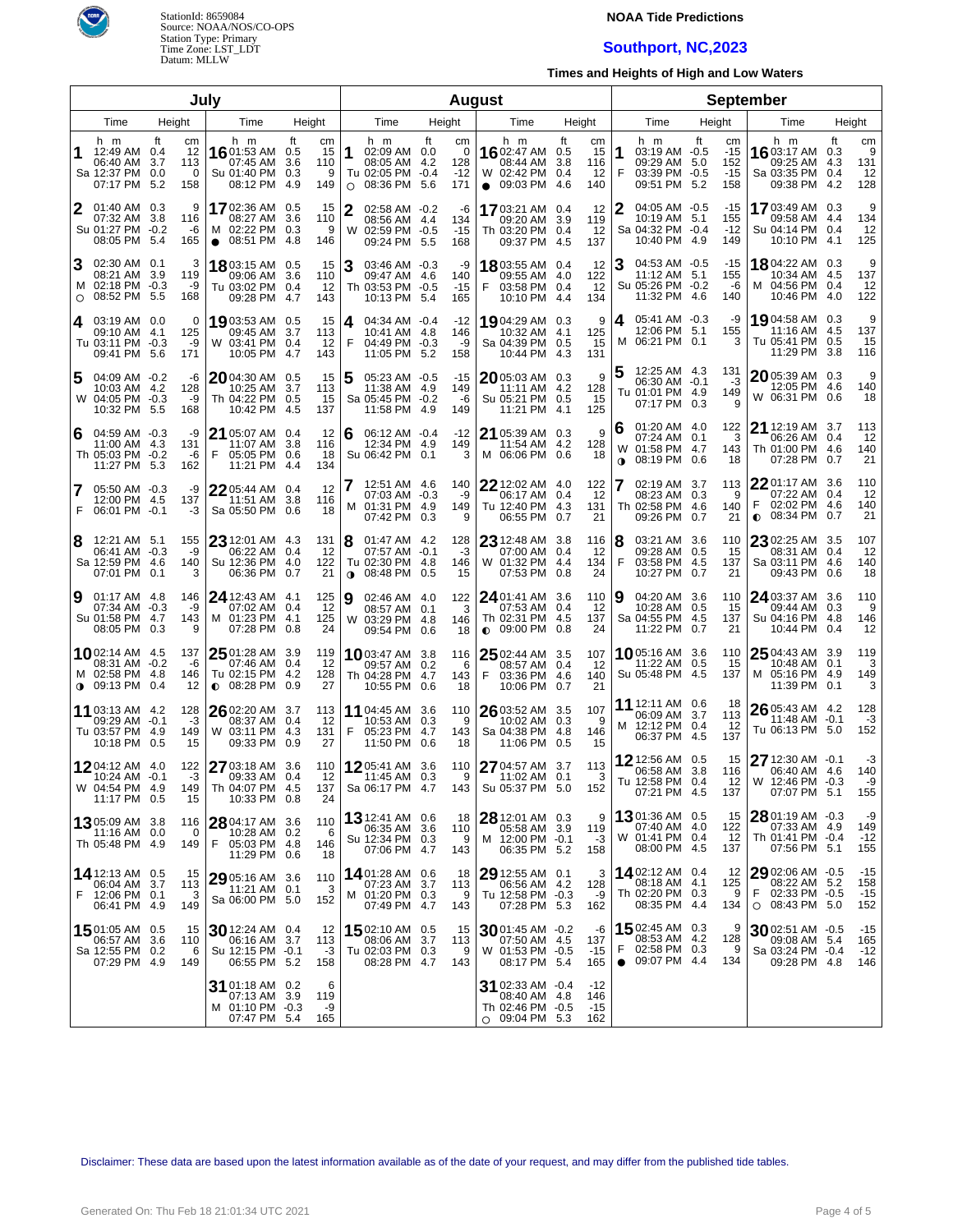

### **NOAA Tide Predictions**

## **Southport, NC,2023**

**Times and Heights of High and Low Waters**

|                |                                                                            |                   | July                        |                                                                               |                                                        |                |                                                                     |           |                                | <b>August</b>                                                                |                                                                | <b>September</b>                                                                    |                                                         |                                                                                   |                                   |  |  |  |
|----------------|----------------------------------------------------------------------------|-------------------|-----------------------------|-------------------------------------------------------------------------------|--------------------------------------------------------|----------------|---------------------------------------------------------------------|-----------|--------------------------------|------------------------------------------------------------------------------|----------------------------------------------------------------|-------------------------------------------------------------------------------------|---------------------------------------------------------|-----------------------------------------------------------------------------------|-----------------------------------|--|--|--|
| Time<br>Height |                                                                            |                   |                             | Time                                                                          | Height                                                 |                | Time                                                                |           | Height                         | Time                                                                         | Height                                                         | Time                                                                                | Height                                                  | Time                                                                              | Height                            |  |  |  |
| 1              | h m<br>12:49 AM 0.4<br>06:40 AM 3.7<br>Sa 12:37 PM<br>07:17 PM             | ft<br>0.0<br>-5.2 | cm<br>12<br>113<br>0<br>158 | h m<br>1601:53 AM 0.5<br>07:45 AM<br>Su 01:40 PM<br>08:12 PM                  | ft<br>cm<br>15<br>3.6<br>110<br>0.3<br>9<br>4.9<br>149 | 1<br>O         | h m<br>02:09 AM 0.0<br>08:05 AM 4.2<br>Tu 02:05 PM -0.4<br>08:36 PM | ft<br>5.6 | cm<br>0<br>128<br>$-12$<br>171 | h m<br>1602:47 AM<br>08:44 AM<br>W 02:42 PM<br>09:03 PM<br>$\bullet$         | ft<br>cm<br>15<br>0.5<br>3.8<br>116<br>0.4<br>12<br>4.6<br>140 | h m<br>1<br>03:19 AM -0.5<br>09:29 AM<br>F<br>03:39 PM -0.5<br>09:51 PM             | ft<br>cm<br>$-15$<br>-5.0<br>152<br>$-15$<br>5.2<br>158 | h m<br>16 03:17 AM 0.3<br>09:25 AM 4.3<br>Sa 03:35 PM 0.4<br>09:38 PM 4.2         | ft<br>cm<br>9<br>131<br>12<br>128 |  |  |  |
| 2              | 01:40 AM 0.3<br>07:32 AM 3.8<br>Su 01:27 PM -0.2<br>08:05 PM 5.4           |                   | 9<br>116<br>-6<br>165       | 1702:36 AM 0.5<br>08:27 AM<br>M 02:22 PM 0.3<br>08:51 PM 4.8<br>$\bullet$     | -15<br>3.6<br>110<br>9<br>146                          | W              | 02:58 AM -0.2<br>08:56 AM 4.4<br>02:59 PM -0.5<br>09:24 PM 5.5      |           | -6<br>134<br>$-15$<br>168      | 1703:21 AM<br>09:20 AM<br>Th 03:20 PM 0.4<br>09:37 PM                        | 12<br>0.4<br>3.9<br>119<br>12<br>4.5<br>137                    | 04:05 AM -0.5<br>10:19 AM<br>Sa 04:32 PM -0.4<br>10:40 PM 4.9                       | -15<br>5.1<br>155<br>$-12$<br>149                       | 1703:49 AM 0.3<br>09:58 AM 4.4<br>Su 04:14 PM 0.4<br>10:10 PM 4.1                 | 9<br>134<br>12<br>125             |  |  |  |
| 3<br>$\circ$   | 02:30 AM 0.1<br>08:21 AM 3.9<br>M 02:18 PM -0.3<br>08:52 PM 5.5            |                   | 3<br>119<br>-9<br>168       | 18 03:15 AM 0.5<br>09:06 AM<br>Tu 03:02 PM 0.4<br>09:28 PM                    | 15<br>3.6<br>110<br>12<br>4.7<br>143                   |                | 03:46 AM -0.3<br>09:47 AM 4.6<br>Th 03:53 PM -0.5<br>10:13 PM 5.4   |           | -9<br>140<br>$-15$<br>165      | 1803:55 AM 0.4<br>09:55 AM 4.0<br>F<br>03:58 PM 0.4<br>10:10 PM              | 12<br>122<br>12<br>134<br>4.4                                  | 04:53 AM -0.5<br>11:12 AM 5.1<br>Su 05:26 PM -0.2<br>11:32 PM 4.6                   | -15<br>155<br>-6<br>140                                 | 18 04:22 AM 0.3<br>10:34 AM 4.5<br>04:56 PM 0.4<br>м<br>10:46 PM 4.0              | 9<br>137<br>12<br>122             |  |  |  |
| 4              | 03:19 AM 0.0<br>09:10 AM 4.1<br>Tu 03:11 PM -0.3<br>09:41 PM 5.6           |                   | 0<br>125<br>-9<br>171       | 1903:53 AM 0.5<br>09:45 AM 3.7<br>W 03:41 PM 0.4<br>10:05 PM                  | 15<br>113<br>12<br>4.7<br>143                          | 4<br>F         | 04:34 AM -0.4<br>10:41 AM 4.8<br>04:49 PM -0.3<br>11:05 PM 5.2      |           | $-12$<br>146<br>-9<br>158      | 1904:29 AM 0.3<br>10:32 AM 4.1<br>Sa 04:39 PM 0.5<br>10:44 PM                | 9<br>125<br>15<br>4.3<br>131                                   | 05:41 AM -0.3<br>4<br>12:06 PM 5.1<br>M 06:21 PM 0.1                                | -9<br>155<br>з                                          | 19,04:58 AM 0.3<br>11:16 AM 4.5<br>Tu 05:41 PM 0.5<br>11:29 PM 3.8                | 9<br>137<br>15<br>116             |  |  |  |
| 5              | 04:09 AM -0.2<br>10:03 AM 4.2<br>W 04:05 PM -0.3<br>10:32 PM 5.5           |                   | -6<br>128<br>-9<br>168      | $2004:30$ AM $0.5$<br>10:25 AM<br>Th 04:22 PM 0.5<br>10:42 PM 4.5             | 15<br>3.7<br>113<br>15<br>137                          |                | 05:23 AM -0.5<br>11:38 AM 4.9<br>Sa 05:45 PM -0.2<br>11:58 PM 4.9   |           | -15<br>149<br>-6<br>149        | 2005:03 AM 0.3<br>11:11 AM 4.2<br>Su 05:21 PM 0.5<br>11:21 PM                | 9<br>128<br>15<br>4.1<br>125                                   | 12:25 AM 4.3<br>06:30 AM -0.1<br>Tu 01:01 PM 4.9<br>07:17 PM 0.3                    | 131<br>-3<br>149<br>9                                   | 2005:39 AM 0.3<br>12:05 PM 4.6<br>W 06:31 PM 0.6                                  | 9<br>140<br>18                    |  |  |  |
| 6              | 04:59 AM -0.3<br>11:00 AM 4.3<br>Th 05:03 PM -0.2<br>11:27 PM 5.3          |                   | -9<br>131<br>-6<br>162      | $2105:07$ AM 0.4<br>11:07 AM<br>F<br>05:05 PM 0.6<br>11:21 PM 4.4             | 12<br>3.8<br>116<br>18<br>134                          | 6              | 06:12 AM -0.4<br>12:34 PM 4.9<br>Su 06:42 PM 0.1                    |           | $-12$<br>149<br>3              | $2105:39$ AM 0.3<br>11:54 AM 4.2<br>M 06:06 PM 0.6                           | 9<br>128<br>18                                                 | 01:20 AM 4.0<br>6<br>07:24 AM 0.1<br>01:58 PM 4.7<br>W<br>08:19 PM 0.6<br>$\bullet$ | 122<br>З<br>143<br>18                                   | 21 12:19 AM 3.7<br>06:26 AM 0.4<br>Th 01:00 PM 4.6<br>07:28 PM 0.7                | 113<br>12<br>140<br>21            |  |  |  |
| 7<br>F         | 05:50 AM -0.3<br>12:00 PM 4.5<br>06:01 PM -0.1                             |                   | -9<br>137<br>-3             | $2205:44$ AM 0.4<br>11:51 AM 3.8<br>Sa 05:50 PM 0.6                           | 12<br>116<br>18                                        |                | 12:51 AM 4.6<br>07:03 AM -0.3<br>M 01:31 PM 4.9<br>07:42 PM 0.3     |           | 140<br>-9<br>149<br>9          | 22 12:02 AM 4.0<br>06:17 AM 0.4<br>Tu 12:40 PM 4.3<br>06:55 PM 0.7           | 122<br>12<br>131<br>21                                         | 02:19 AM 3.7<br>08:23 AM 0.3<br>Th 02:58 PM 4.6<br>09:26 PM                         | 113<br>9<br>140<br>0.7<br>21                            | 22 01:17 AM 3.6<br>07:22 AM 0.4<br>02:02 PM 4.6<br>F<br>08:34 PM 0.7<br>$\bullet$ | 110<br>12<br>140<br>21            |  |  |  |
| 8              | 12:21 AM 5.1<br>06:41 AM -0.3<br>Sa 12:59 PM 4.6<br>07:01 PM 0.1           |                   | 155<br>-9<br>140<br>3       | $23$ 12:01 AM 4.3<br>06:22 AM 0.4<br>Su 12:36 PM 4.0<br>06:36 PM 0.7          | 131<br>-12<br>122<br>21                                | 8<br>$\bullet$ | 01:47 AM 4.2<br>07:57 AM -0.1<br>Tu 02:30 PM 4.8<br>08:48 PM 0.5    |           | 128<br>-3<br>146<br>15         | 23 12:48 AM<br>07:00 AM 0.4<br>W 01:32 PM 4.4<br>07:53 PM 0.8                | 116<br>3.8<br>12<br>134<br>24                                  | 03:21 AM 3.6<br>8<br>09:28 AM<br>F<br>03:58 PM<br>10:27 PM                          | 110<br>0.5<br>15<br>-4.5<br>137<br>0.7<br>21            | 23 02:25 AM 3.5<br>08:31 AM 0.4<br>Sa 03:11 PM 4.6<br>09:43 PM 0.6                | 107<br>12<br>140<br>18            |  |  |  |
| 9              | 01:17 AM 4.8<br>07:34 AM -0.3<br>Su 01:58 PM 4.7<br>08:05 PM 0.3           |                   | 146<br>-9<br>143<br>9       | 24 12:43 AM 4.1<br>07:02 AM 0.4<br>M 01:23 PM 4.1<br>07:28 PM 0.8             | 125<br>12<br>125<br>24                                 | 9              | 02:46 AM 4.0<br>08:57 AM 0.1<br>W 03:29 PM 4.8<br>09:54 PM 0.6      |           | 122<br>3<br>146<br>18          | 24 01:41 AM<br>07:53 AM 0.4<br>Th 02:31 PM 4.5<br>$\bullet$ 09:00 PM 0.8     | 110<br>3.6<br>-12<br>137<br>24                                 | 04:20 AM 3.6<br>9<br>10:28 AM<br>Sa 04:55 PM<br>11:22 PM 0.7                        | 110<br>0.5<br>15<br>- 4.5<br>137<br>21                  | 24 03:37 AM 3.6<br>09:44 AM 0.3<br>Su 04:16 PM 4.8<br>10:44 PM 0.4                | 110<br>9<br>146<br>12             |  |  |  |
|                | 1002:14 AM 4.5<br>08:31 AM -0.2<br>M 02:58 PM 4.8<br>$0.09:13$ PM 0.4      |                   | 137<br>-6<br>146<br>12      | $2501:28$ AM 3.9<br>07:46 AM 0.4<br>Tu 02:15 PM 4.2<br>$\bullet$ 08:28 PM 0.9 | 119<br>-12<br>128<br>27                                |                | 1003:47 AM 3.8<br>09:57 AM 0.2<br>Th 04:28 PM 4.7<br>10:55 PM 0.6   |           | 116<br>6<br>143<br>18          | 25 02:44 AM 3.5<br>08:57 AM 0.4<br>F<br>03:36 PM 4.6<br>10:06 PM 0.7         | 107<br>12<br>140<br>21                                         | 1005:16 AM 3.6<br>11:22 AM<br>Su 05:48 PM 4.5                                       | 110<br>0.5<br>15<br>137                                 | $2504:43$ AM 3.9<br>10:48 AM 0.1<br>M 05:16 PM 4.9<br>11:39 PM 0.1                | 119<br>3<br>149<br>3              |  |  |  |
|                | <b>11</b> 03:13 AM 4.2<br>09:29 AM -0.1<br>Tu 03:57 PM 4.9<br>10:18 PM 0.5 |                   | 128<br>$-3$<br>149<br>15    | 26 02:20 AM 3.7<br>08:37 AM 0.4<br>W 03:11 PM 4.3<br>09:33 PM 0.9             | 113<br>-12<br>131<br>27                                | F              | 11 04:45 AM 3.6<br>10:53 AM 0.3<br>05:23 PM 4.7<br>11:50 PM 0.6     |           | 110<br>9<br>143<br>18          | 26 03:52 AM 3.5<br>10:02 AM 0.3<br>Sa 04:38 PM 4.8<br>11:06 PM 0.5           | 107<br>9<br>146<br>15                                          | 11 12:11 AM 0.6<br>06:09 AM 3.7<br>M 12:12 PM 0.4<br>06:37 PM 4.5                   | 18<br>113<br>12<br>137                                  | 26 05:43 AM 4.2<br>11:48 AM -0.1<br>Tu 06:13 PM 5.0                               | 128<br>-3<br>152                  |  |  |  |
|                | 1204:12 AM 4.0<br>$10:24$ AM $-0.1$<br>W 04:54 PM 4.9<br>11:17 PM 0.5      |                   | 122<br>$-3$<br>149<br>15    | 27 03:18 AM 3.6<br>09:33 AM 0.4<br>Th 04:07 PM 4.5<br>10:33 PM 0.8            | 110<br>12<br>137<br>24                                 |                | 1205:41 AM 3.6<br>11:45 AM 0.3<br>Sa 06:17 PM 4.7                   |           | 110<br>9<br>143                | 27 04:57 AM 3.7<br>$11:02$ AM $\,$ 0.1<br>Su 05:37 PM 5.0                    | 113<br>3<br>152                                                | 12 12:56 AM 0.5<br>06:58 AM<br>Tu 12:58 PM 0.4<br>07:21 PM 4.5                      | 15<br>3.8<br>116<br>12<br>137                           | $2712:30$ AM $-0.1$<br>06:40 AM 4.6<br>W 12:46 PM -0.3<br>07:07 PM 5.1            | -3<br>140<br>-9<br>155            |  |  |  |
|                | <b>13</b> 05:09 AM 3.8<br>$11:16$ AM $\,$ 0.0<br>Th 05:48 PM 4.9           |                   | 116<br>0<br>149             | 28 04:17 AM 3.6<br>10:28 AM 0.2<br>F<br>05:03 PM 4.8<br>11:29 PM 0.6          | 110<br>6<br>146<br>18                                  |                | 13 12:41 AM 0.6<br>06:35 AM 3.6<br>Su 12:34 PM 0.3<br>07:06 PM 4.7  |           | 18<br>110<br>9<br>143          | $2812:01$ AM 0.3<br>05:58 AM 3.9<br>M 12:00 PM -0.1<br>06:35 PM 5.2          | 9<br>119<br>-3<br>158                                          | 1301:36 AM 0.5<br>07:40 AM 4.0<br>W 01:41 PM 0.4<br>08:00 PM 4.5                    | 15<br>122<br>12<br>137                                  | $2801:19$ AM $-0.3$<br>07:33 AM 4.9<br>Th 01:41 PM -0.4<br>07:56 PM 5.1           | -9<br>149<br>$-12$<br>155         |  |  |  |
| F              | 14 12:13 AM 0.5<br>06:04 AM 3.7<br>12:06 PM 0.1<br>06:41 PM 4.9            |                   | 15<br>113<br>3<br>149       | 29 05:16 AM 3.6<br>11:21 AM 0.1<br>Sa 06:00 PM 5.0                            | 110<br>3<br>152                                        |                | 1401:28 AM 0.6<br>07:23 AM 3.7<br>M 01:20 PM 0.3<br>07:49 PM 4.7    |           | 18<br>113<br>9<br>143          | $2912:55$ AM 0.1<br>06:56 AM 4.2<br>Tu 12:58 PM -0.3<br>07:28 PM 5.3         | 3<br>128<br>-9<br>162                                          | 1402:12 AM 0.4<br>08:18 AM 4.1<br>Th 02:20 PM 0.3<br>08:35 PM 4.4                   | 12<br>125<br>9<br>134                                   | 29 02:06 AM -0.5<br>08:22 AM 5.2<br>F 02:33 PM -0.5<br>$O$ 08:43 PM 5.0           | $-15$<br>158<br>-15<br>152        |  |  |  |
|                | $15$ 01:05 AM 0.5<br>06:57 AM 3.6<br>Sa 12:55 PM 0.2<br>07:29 PM 4.9       |                   | 15<br>110<br>6<br>149       | $30$ 12:24 AM 0.4<br>06:16 AM 3.7<br>Su 12:15 PM -0.1<br>06:55 PM 5.2         | -12<br>113<br>-3<br>158                                |                | 1502:10 AM 0.5<br>08:06 AM 3.7<br>Tu 02:03 PM 0.3<br>08:28 PM 4.7   |           | 15<br>113<br>9<br>143          | $3001:45$ AM $-0.2$<br>07:50 AM 4.5<br>W 01:53 PM -0.5<br>08:17 PM 5.4       | -6<br>137<br>$-15$<br>165                                      | 1502:45 AM 0.3<br>08:53 AM 4.2<br>F.<br>02:58 PM 0.3<br>$\bullet$ 09:07 PM 4.4      | 9<br>128<br>9<br>134                                    | $3002:51$ AM $-0.5$<br>09:08 AM 5.4<br>Sa 03:24 PM -0.4<br>09:28 PM 4.8           | -15<br>165<br>$-12$<br>146        |  |  |  |
|                |                                                                            |                   |                             | 31 01:18 AM 0.2<br>07:13 AM 3.9<br>M 01:10 PM -0.3<br>07:47 PM 5.4            | 6<br>119<br>-9<br>165                                  |                |                                                                     |           |                                | 31 02:33 AM -0.4<br>08:40 AM 4.8<br>Th 02:46 PM -0.5<br>$\circ$ 09:04 PM 5.3 | -12<br>146<br>$-15$<br>162                                     |                                                                                     |                                                         |                                                                                   |                                   |  |  |  |